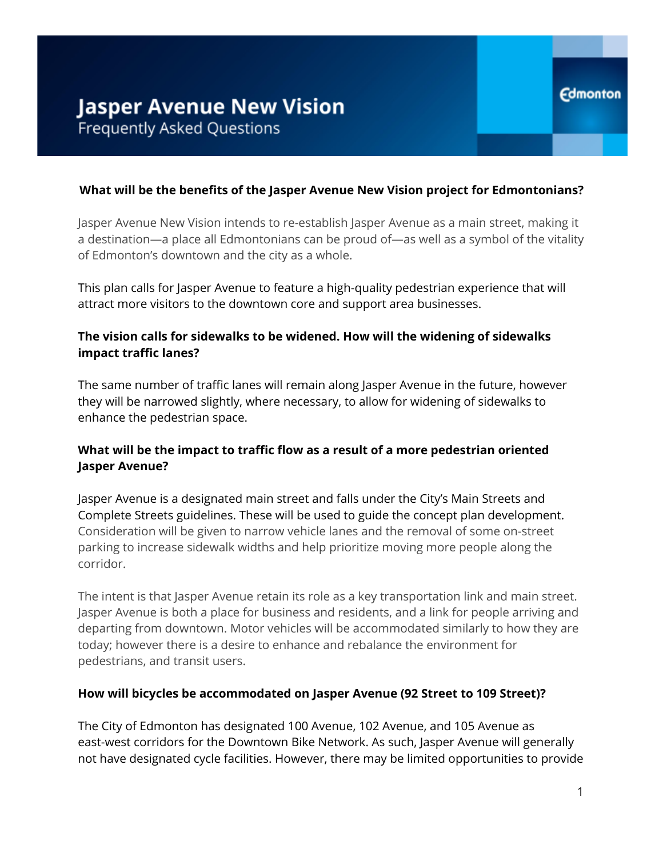#### **What will be the benefits of the Jasper Avenue New Vision project for Edmontonians?**

Jasper Avenue New Vision intends to re-establish Jasper Avenue as a main street, making it a destination—a place all Edmontonians can be proud of—as well as a symbol of the vitality of Edmonton's downtown and the city as a whole.

This plan calls for Jasper Avenue to feature a high-quality pedestrian experience that will attract more visitors to the downtown core and support area businesses.

#### **The vision calls for sidewalks to be widened. How will the widening of sidewalks impact traffic lanes?**

The same number of traffic lanes will remain along Jasper Avenue in the future, however they will be narrowed slightly, where necessary, to allow for widening of sidewalks to enhance the pedestrian space.

# **What will be the impact to traffic flow as a result of a more pedestrian oriented Jasper Avenue?**

Jasper Avenue is a designated main street and falls under the City's Main Streets and Complete Streets guidelines. These will be used to guide the concept plan development. Consideration will be given to narrow vehicle lanes and the removal of some on-street parking to increase sidewalk widths and help prioritize moving more people along the corridor.

The intent is that Jasper Avenue retain its role as a key transportation link and main street. Jasper Avenue is both a place for business and residents, and a link for people arriving and departing from downtown. Motor vehicles will be accommodated similarly to how they are today; however there is a desire to enhance and rebalance the environment for pedestrians, and transit users.

#### **How will bicycles be accommodated on Jasper Avenue (92 Street to 109 Street)?**

The City of Edmonton has designated 100 Avenue, 102 Avenue, and 105 Avenue as east-west corridors for the Downtown Bike Network. As such, Jasper Avenue will generally not have designated cycle facilities. However, there may be limited opportunities to provide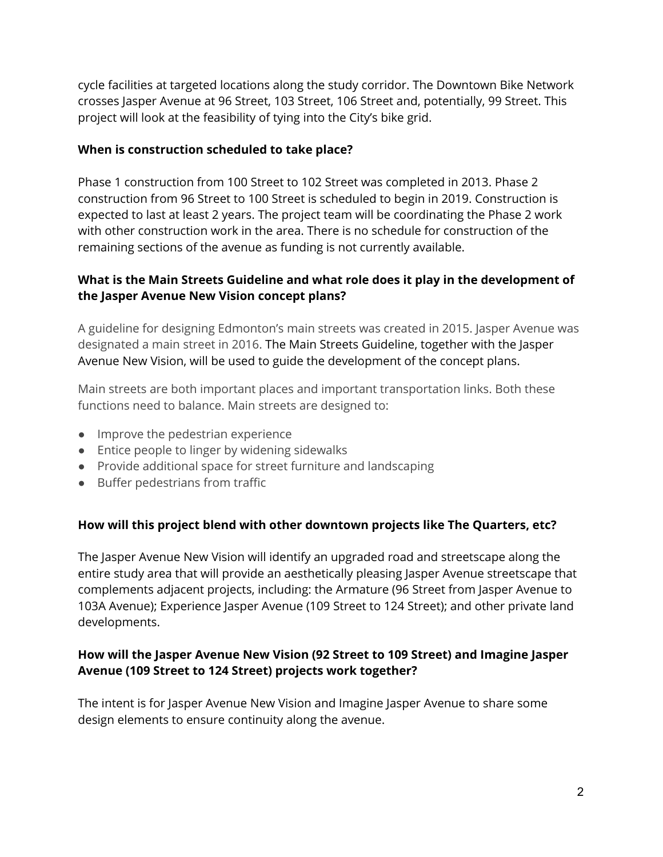cycle facilities at targeted locations along the study corridor. The Downtown Bike Network crosses Jasper Avenue at 96 Street, 103 Street, 106 Street and, potentially, 99 Street. This project will look at the feasibility of tying into the City's bike grid.

#### **When is construction scheduled to take place?**

Phase 1 construction from 100 Street to 102 Street was completed in 2013. Phase 2 construction from 96 Street to 100 Street is scheduled to begin in 2019. Construction is expected to last at least 2 years. The project team will be coordinating the Phase 2 work with other construction work in the area. There is no schedule for construction of the remaining sections of the avenue as funding is not currently available.

# **What is the Main Streets Guideline and what role does it play in the development of the Jasper Avenue New Vision concept plans?**

A guideline for designing Edmonton's main streets was created in 2015. Jasper Avenue was designated a main street in 2016. The Main Streets Guideline, together with the Jasper Avenue New Vision, will be used to guide the development of the concept plans.

Main streets are both important places and important transportation links. Both these functions need to balance. Main streets are designed to:

- Improve the pedestrian experience
- Entice people to linger by widening sidewalks
- Provide additional space for street furniture and landscaping
- Buffer pedestrians from traffic

# **How will this project blend with other downtown projects like The Quarters, etc?**

The Jasper Avenue New Vision will identify an upgraded road and streetscape along the entire study area that will provide an aesthetically pleasing Jasper Avenue streetscape that complements adjacent projects, including: the Armature (96 Street from Jasper Avenue to 103A Avenue); Experience Jasper Avenue (109 Street to 124 Street); and other private land developments.

# **How will the Jasper Avenue New Vision (92 Street to 109 Street) and Imagine Jasper Avenue (109 Street to 124 Street) projects work together?**

The intent is for Jasper Avenue New Vision and Imagine Jasper Avenue to share some design elements to ensure continuity along the avenue.